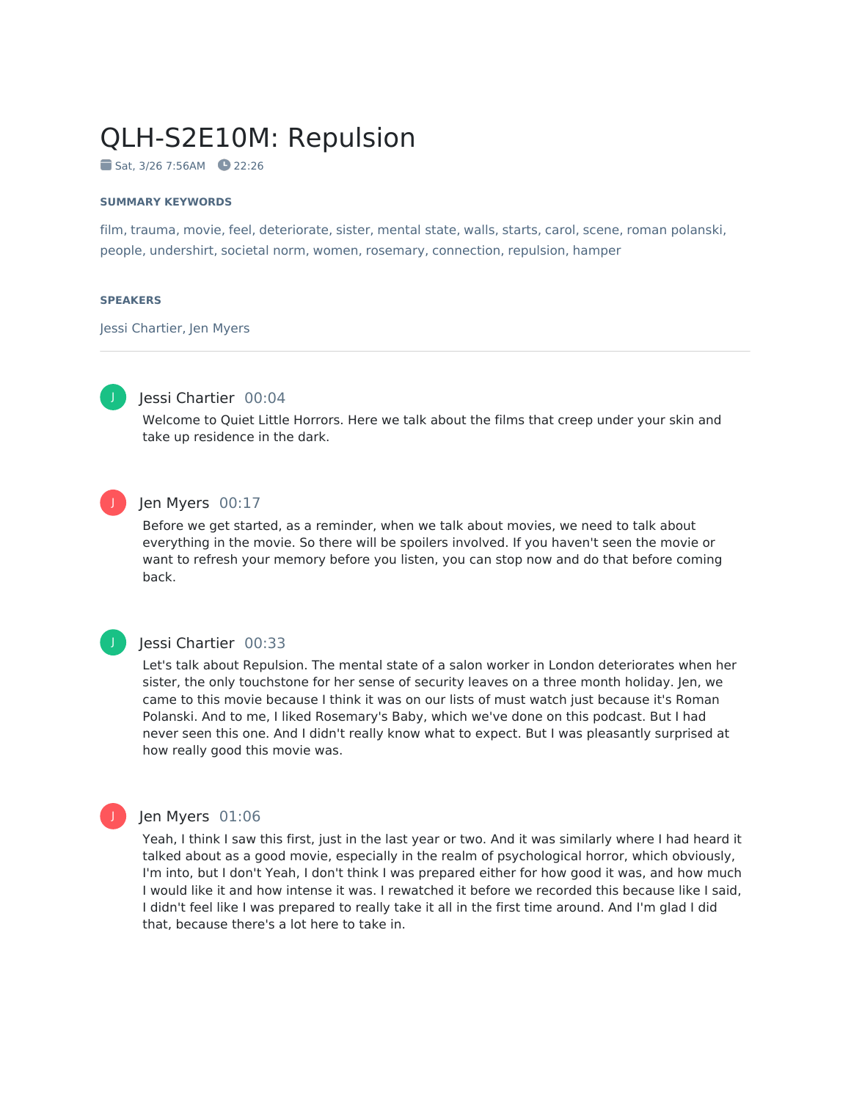# QLH-S2E10M: Repulsion

Sat, 3/26 7:56AM 22:26

### **SUMMARY KEYWORDS**

film, trauma, movie, feel, deteriorate, sister, mental state, walls, starts, carol, scene, roman polanski, people, undershirt, societal norm, women, rosemary, connection, repulsion, hamper

### **SPEAKERS**

Jessi Chartier, Jen Myers



### Jessi Chartier 00:04

Welcome to Quiet Little Horrors. Here we talk about the films that creep under your skin and take up residence in the dark.



### Jen Myers 00:17

Before we get started, as a reminder, when we talk about movies, we need to talk about everything in the movie. So there will be spoilers involved. If you haven't seen the movie or want to refresh your memory before you listen, you can stop now and do that before coming back.

### J

### Jessi Chartier 00:33

Let's talk about Repulsion. The mental state of a salon worker in London deteriorates when her sister, the only touchstone for her sense of security leaves on a three month holiday. Jen, we came to this movie because I think it was on our lists of must watch just because it's Roman Polanski. And to me, I liked Rosemary's Baby, which we've done on this podcast. But I had never seen this one. And I didn't really know what to expect. But I was pleasantly surprised at how really good this movie was.



### Jen Myers 01:06

Yeah, I think I saw this first, just in the last year or two. And it was similarly where I had heard it talked about as a good movie, especially in the realm of psychological horror, which obviously, I'm into, but I don't Yeah, I don't think I was prepared either for how good it was, and how much I would like it and how intense it was. I rewatched it before we recorded this because like I said, I didn't feel like I was prepared to really take it all in the first time around. And I'm glad I did that, because there's a lot here to take in.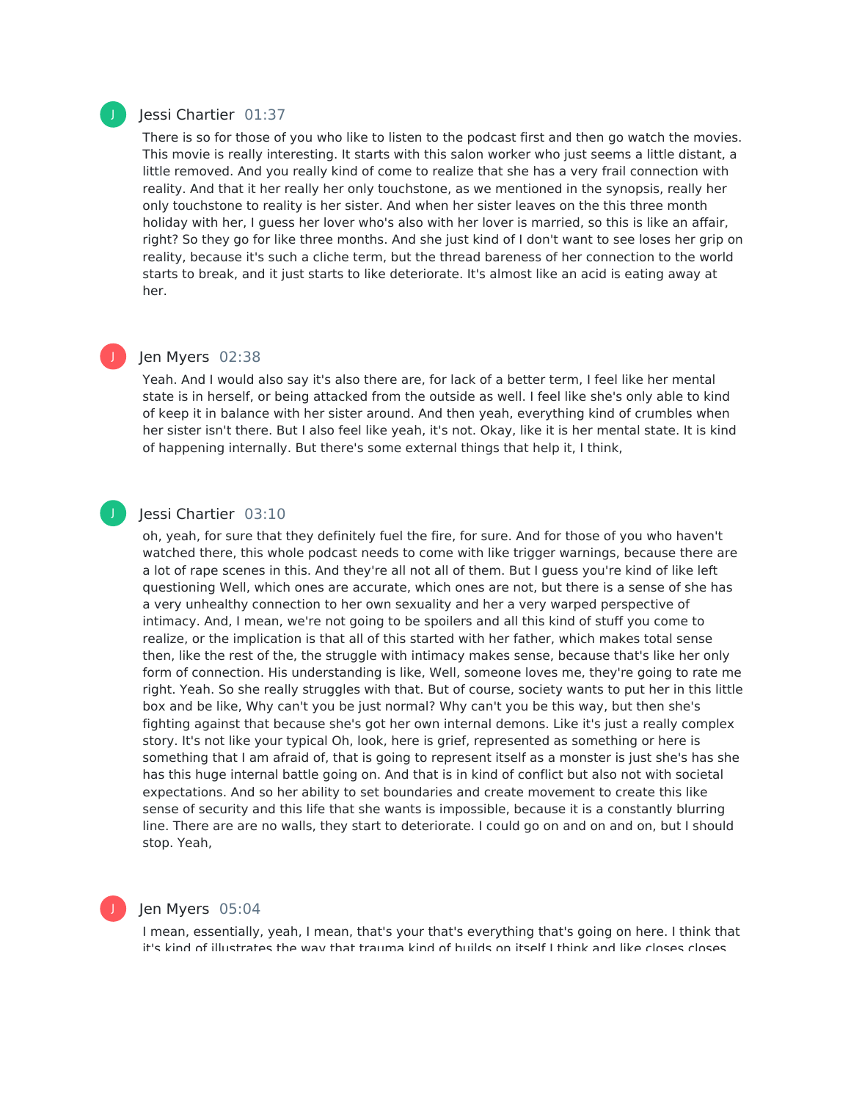### Jessi Chartier 01:37

There is so for those of you who like to listen to the podcast first and then go watch the movies. This movie is really interesting. It starts with this salon worker who just seems a little distant, a little removed. And you really kind of come to realize that she has a very frail connection with reality. And that it her really her only touchstone, as we mentioned in the synopsis, really her only touchstone to reality is her sister. And when her sister leaves on the this three month holiday with her, I guess her lover who's also with her lover is married, so this is like an affair, right? So they go for like three months. And she just kind of I don't want to see loses her grip on reality, because it's such a cliche term, but the thread bareness of her connection to the world starts to break, and it just starts to like deteriorate. It's almost like an acid is eating away at her.

## J

J

### Jen Myers 02:38

Yeah. And I would also say it's also there are, for lack of a better term, I feel like her mental state is in herself, or being attacked from the outside as well. I feel like she's only able to kind of keep it in balance with her sister around. And then yeah, everything kind of crumbles when her sister isn't there. But I also feel like yeah, it's not. Okay, like it is her mental state. It is kind of happening internally. But there's some external things that help it, I think,

### Jessi Chartier 03:10

oh, yeah, for sure that they definitely fuel the fire, for sure. And for those of you who haven't watched there, this whole podcast needs to come with like trigger warnings, because there are a lot of rape scenes in this. And they're all not all of them. But I guess you're kind of like left questioning Well, which ones are accurate, which ones are not, but there is a sense of she has a very unhealthy connection to her own sexuality and her a very warped perspective of intimacy. And, I mean, we're not going to be spoilers and all this kind of stuff you come to realize, or the implication is that all of this started with her father, which makes total sense then, like the rest of the, the struggle with intimacy makes sense, because that's like her only form of connection. His understanding is like, Well, someone loves me, they're going to rate me right. Yeah. So she really struggles with that. But of course, society wants to put her in this little box and be like, Why can't you be just normal? Why can't you be this way, but then she's fighting against that because she's got her own internal demons. Like it's just a really complex story. It's not like your typical Oh, look, here is grief, represented as something or here is something that I am afraid of, that is going to represent itself as a monster is just she's has she has this huge internal battle going on. And that is in kind of conflict but also not with societal expectations. And so her ability to set boundaries and create movement to create this like sense of security and this life that she wants is impossible, because it is a constantly blurring line. There are are no walls, they start to deteriorate. I could go on and on and on, but I should stop. Yeah,

Jen Myers 05:04

I mean, essentially, yeah, I mean, that's your that's everything that's going on here. I think that it's kind of illustrates the way that trauma kind of builds on itself I think and like closes closes

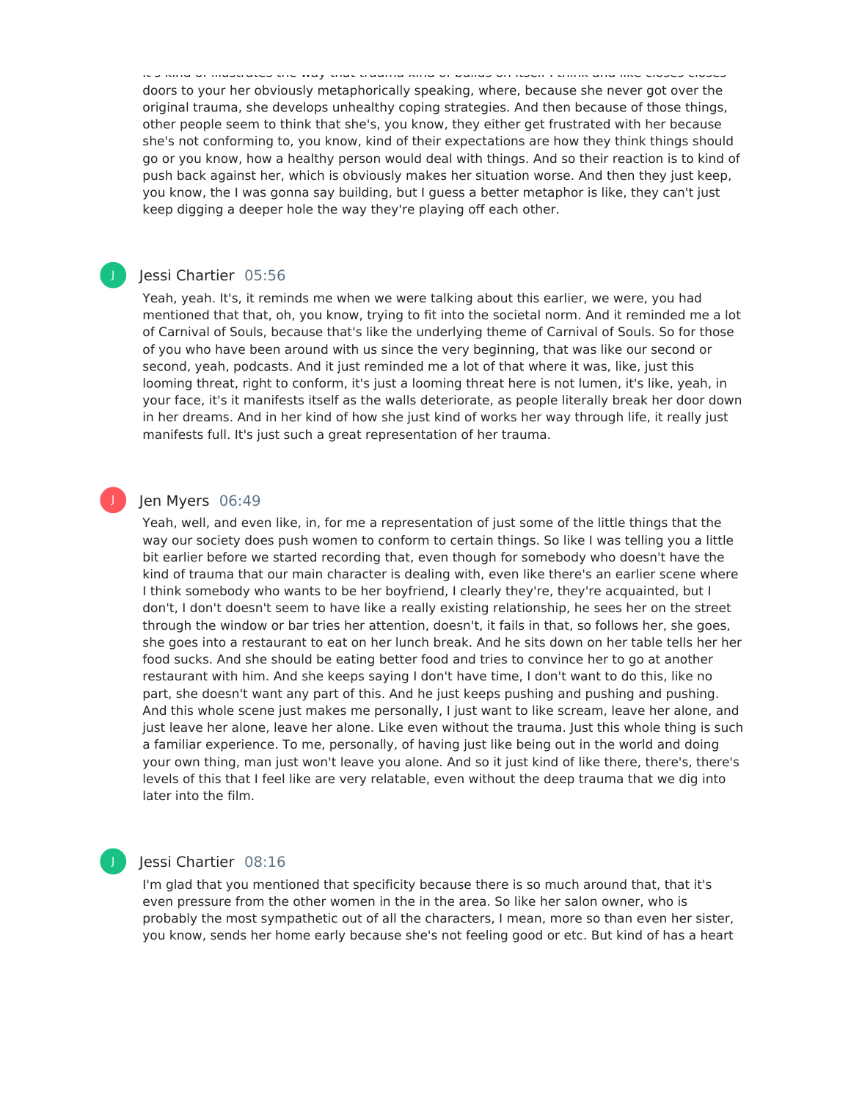it's kind of illustrates the way that trauma kind of builds on itself I think and like closes closes doors to your her obviously metaphorically speaking, where, because she never got over the original trauma, she develops unhealthy coping strategies. And then because of those things, other people seem to think that she's, you know, they either get frustrated with her because she's not conforming to, you know, kind of their expectations are how they think things should go or you know, how a healthy person would deal with things. And so their reaction is to kind of push back against her, which is obviously makes her situation worse. And then they just keep, you know, the I was gonna say building, but I guess a better metaphor is like, they can't just keep digging a deeper hole the way they're playing off each other.

### Jessi Chartier 05:56

Yeah, yeah. It's, it reminds me when we were talking about this earlier, we were, you had mentioned that that, oh, you know, trying to fit into the societal norm. And it reminded me a lot of Carnival of Souls, because that's like the underlying theme of Carnival of Souls. So for those of you who have been around with us since the very beginning, that was like our second or second, yeah, podcasts. And it just reminded me a lot of that where it was, like, just this looming threat, right to conform, it's just a looming threat here is not lumen, it's like, yeah, in your face, it's it manifests itself as the walls deteriorate, as people literally break her door down in her dreams. And in her kind of how she just kind of works her way through life, it really just manifests full. It's just such a great representation of her trauma.

### Jen Myers 06:49

J

J

Yeah, well, and even like, in, for me a representation of just some of the little things that the way our society does push women to conform to certain things. So like I was telling you a little bit earlier before we started recording that, even though for somebody who doesn't have the kind of trauma that our main character is dealing with, even like there's an earlier scene where I think somebody who wants to be her boyfriend, I clearly they're, they're acquainted, but I don't, I don't doesn't seem to have like a really existing relationship, he sees her on the street through the window or bar tries her attention, doesn't, it fails in that, so follows her, she goes, she goes into a restaurant to eat on her lunch break. And he sits down on her table tells her her food sucks. And she should be eating better food and tries to convince her to go at another restaurant with him. And she keeps saying I don't have time, I don't want to do this, like no part, she doesn't want any part of this. And he just keeps pushing and pushing and pushing. And this whole scene just makes me personally, I just want to like scream, leave her alone, and just leave her alone, leave her alone. Like even without the trauma. Just this whole thing is such a familiar experience. To me, personally, of having just like being out in the world and doing your own thing, man just won't leave you alone. And so it just kind of like there, there's, there's levels of this that I feel like are very relatable, even without the deep trauma that we dig into later into the film.

### Jessi Chartier 08:16

I'm glad that you mentioned that specificity because there is so much around that, that it's even pressure from the other women in the in the area. So like her salon owner, who is probably the most sympathetic out of all the characters, I mean, more so than even her sister, you know, sends her home early because she's not feeling good or etc. But kind of has a heart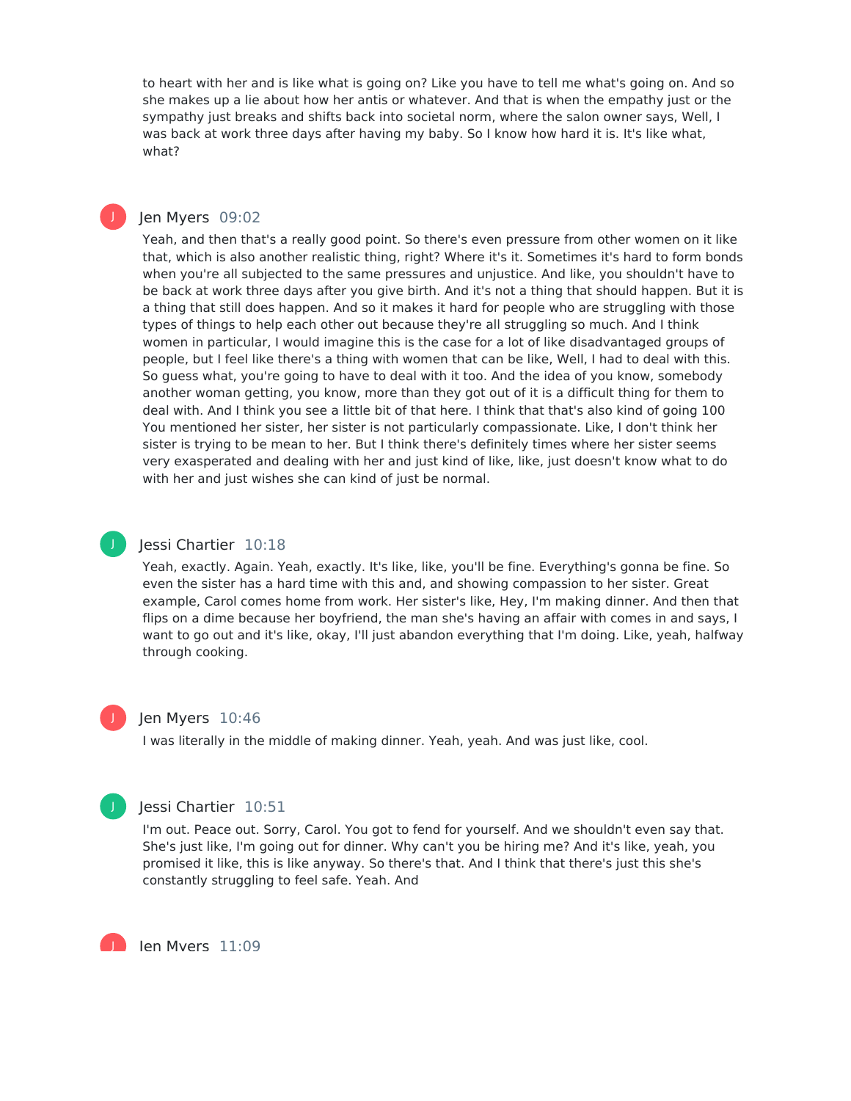to heart with her and is like what is going on? Like you have to tell me what's going on. And so she makes up a lie about how her antis or whatever. And that is when the empathy just or the sympathy just breaks and shifts back into societal norm, where the salon owner says, Well, I was back at work three days after having my baby. So I know how hard it is. It's like what, what?

### Jen Myers 09:02

Yeah, and then that's a really good point. So there's even pressure from other women on it like that, which is also another realistic thing, right? Where it's it. Sometimes it's hard to form bonds when you're all subjected to the same pressures and unjustice. And like, you shouldn't have to be back at work three days after you give birth. And it's not a thing that should happen. But it is a thing that still does happen. And so it makes it hard for people who are struggling with those types of things to help each other out because they're all struggling so much. And I think women in particular, I would imagine this is the case for a lot of like disadvantaged groups of people, but I feel like there's a thing with women that can be like, Well, I had to deal with this. So guess what, you're going to have to deal with it too. And the idea of you know, somebody another woman getting, you know, more than they got out of it is a difficult thing for them to deal with. And I think you see a little bit of that here. I think that that's also kind of going 100 You mentioned her sister, her sister is not particularly compassionate. Like, I don't think her sister is trying to be mean to her. But I think there's definitely times where her sister seems very exasperated and dealing with her and just kind of like, like, just doesn't know what to do with her and just wishes she can kind of just be normal.

### J

J

### Jessi Chartier 10:18

Yeah, exactly. Again. Yeah, exactly. It's like, like, you'll be fine. Everything's gonna be fine. So even the sister has a hard time with this and, and showing compassion to her sister. Great example, Carol comes home from work. Her sister's like, Hey, I'm making dinner. And then that flips on a dime because her boyfriend, the man she's having an affair with comes in and says, I want to go out and it's like, okay, I'll just abandon everything that I'm doing. Like, yeah, halfway through cooking.

# J

### Jen Myers 10:46

I was literally in the middle of making dinner. Yeah, yeah. And was just like, cool.



J

### Jessi Chartier 10:51

I'm out. Peace out. Sorry, Carol. You got to fend for yourself. And we shouldn't even say that. She's just like, I'm going out for dinner. Why can't you be hiring me? And it's like, yeah, you promised it like, this is like anyway. So there's that. And I think that there's just this she's constantly struggling to feel safe. Yeah. And

Jen Myers 11:09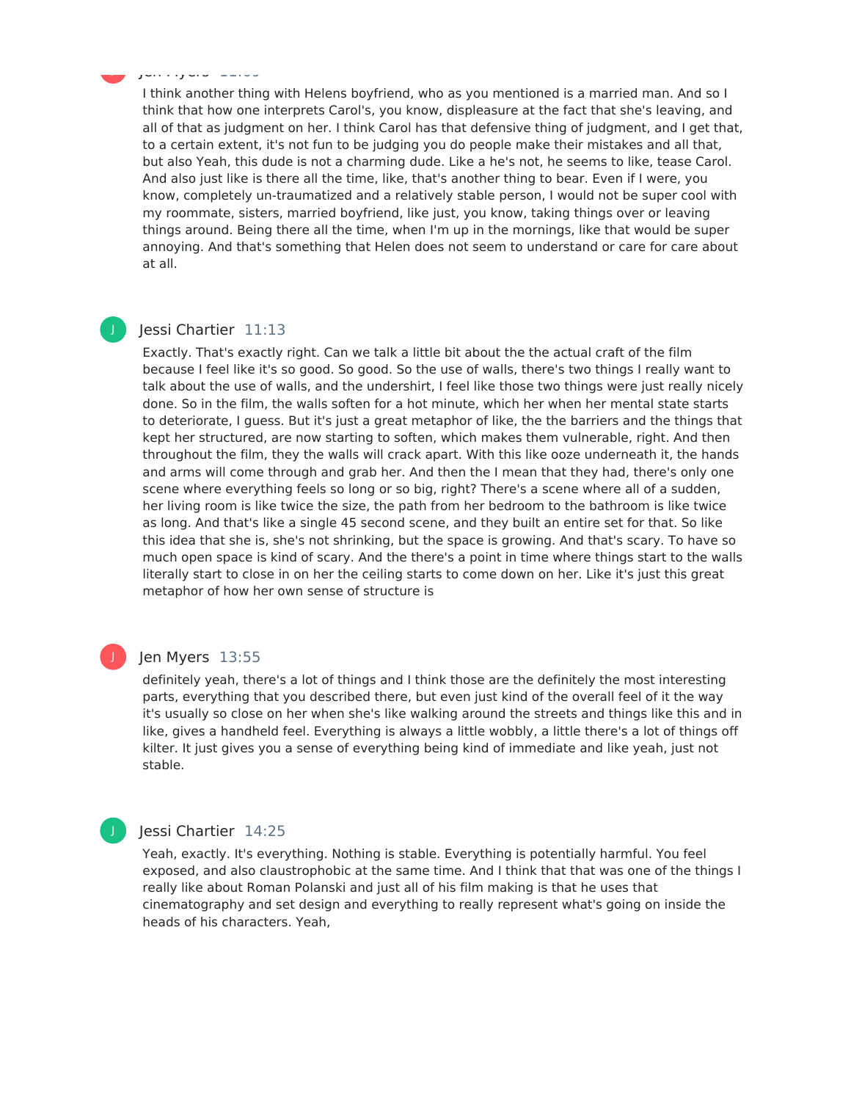### ا با ساور استان و J

I think another thing with Helens boyfriend, who as you mentioned is a married man. And so I think that how one interprets Carol's, you know, displeasure at the fact that she's leaving, and all of that as judgment on her. I think Carol has that defensive thing of judgment, and I get that, to a certain extent, it's not fun to be judging you do people make their mistakes and all that, but also Yeah, this dude is not a charming dude. Like a he's not, he seems to like, tease Carol. And also just like is there all the time, like, that's another thing to bear. Even if I were, you know, completely un-traumatized and a relatively stable person, I would not be super cool with my roommate, sisters, married boyfriend, like just, you know, taking things over or leaving things around. Being there all the time, when I'm up in the mornings, like that would be super annoying. And that's something that Helen does not seem to understand or care for care about at all.

### J

### Jessi Chartier 11:13

Exactly. That's exactly right. Can we talk a little bit about the the actual craft of the film because I feel like it's so good. So good. So the use of walls, there's two things I really want to talk about the use of walls, and the undershirt, I feel like those two things were just really nicely done. So in the film, the walls soften for a hot minute, which her when her mental state starts to deteriorate, I guess. But it's just a great metaphor of like, the the barriers and the things that kept her structured, are now starting to soften, which makes them vulnerable, right. And then throughout the film, they the walls will crack apart. With this like ooze underneath it, the hands and arms will come through and grab her. And then the I mean that they had, there's only one scene where everything feels so long or so big, right? There's a scene where all of a sudden, her living room is like twice the size, the path from her bedroom to the bathroom is like twice as long. And that's like a single 45 second scene, and they built an entire set for that. So like this idea that she is, she's not shrinking, but the space is growing. And that's scary. To have so much open space is kind of scary. And the there's a point in time where things start to the walls literally start to close in on her the ceiling starts to come down on her. Like it's just this great metaphor of how her own sense of structure is

### J

### Jen Myers 13:55

definitely yeah, there's a lot of things and I think those are the definitely the most interesting parts, everything that you described there, but even just kind of the overall feel of it the way it's usually so close on her when she's like walking around the streets and things like this and in like, gives a handheld feel. Everything is always a little wobbly, a little there's a lot of things off kilter. It just gives you a sense of everything being kind of immediate and like yeah, just not stable.

### Jessi Chartier 14:25

Yeah, exactly. It's everything. Nothing is stable. Everything is potentially harmful. You feel exposed, and also claustrophobic at the same time. And I think that that was one of the things I really like about Roman Polanski and just all of his film making is that he uses that cinematography and set design and everything to really represent what's going on inside the heads of his characters. Yeah,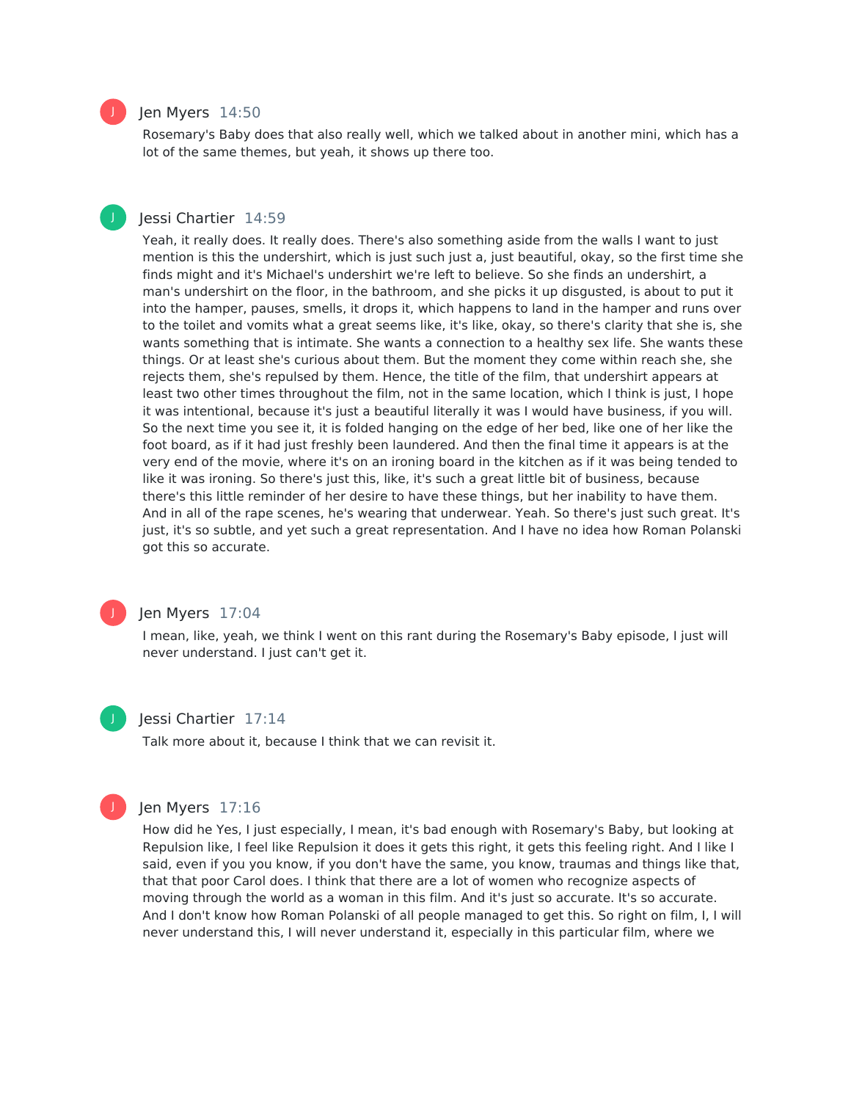

J

### Jen Myers 14:50

Rosemary's Baby does that also really well, which we talked about in another mini, which has a lot of the same themes, but yeah, it shows up there too.

### Jessi Chartier 14:59

Yeah, it really does. It really does. There's also something aside from the walls I want to just mention is this the undershirt, which is just such just a, just beautiful, okay, so the first time she finds might and it's Michael's undershirt we're left to believe. So she finds an undershirt, a man's undershirt on the floor, in the bathroom, and she picks it up disgusted, is about to put it into the hamper, pauses, smells, it drops it, which happens to land in the hamper and runs over to the toilet and vomits what a great seems like, it's like, okay, so there's clarity that she is, she wants something that is intimate. She wants a connection to a healthy sex life. She wants these things. Or at least she's curious about them. But the moment they come within reach she, she rejects them, she's repulsed by them. Hence, the title of the film, that undershirt appears at least two other times throughout the film, not in the same location, which I think is just, I hope it was intentional, because it's just a beautiful literally it was I would have business, if you will. So the next time you see it, it is folded hanging on the edge of her bed, like one of her like the foot board, as if it had just freshly been laundered. And then the final time it appears is at the very end of the movie, where it's on an ironing board in the kitchen as if it was being tended to like it was ironing. So there's just this, like, it's such a great little bit of business, because there's this little reminder of her desire to have these things, but her inability to have them. And in all of the rape scenes, he's wearing that underwear. Yeah. So there's just such great. It's just, it's so subtle, and yet such a great representation. And I have no idea how Roman Polanski got this so accurate.



### Jen Myers 17:04

I mean, like, yeah, we think I went on this rant during the Rosemary's Baby episode, I just will never understand. I just can't get it.



### Jessi Chartier 17:14

Talk more about it, because I think that we can revisit it.



### Jen Myers 17:16

How did he Yes, I just especially, I mean, it's bad enough with Rosemary's Baby, but looking at Repulsion like, I feel like Repulsion it does it gets this right, it gets this feeling right. And I like I said, even if you you know, if you don't have the same, you know, traumas and things like that, that that poor Carol does. I think that there are a lot of women who recognize aspects of moving through the world as a woman in this film. And it's just so accurate. It's so accurate. And I don't know how Roman Polanski of all people managed to get this. So right on film, I, I will never understand this, I will never understand it, especially in this particular film, where we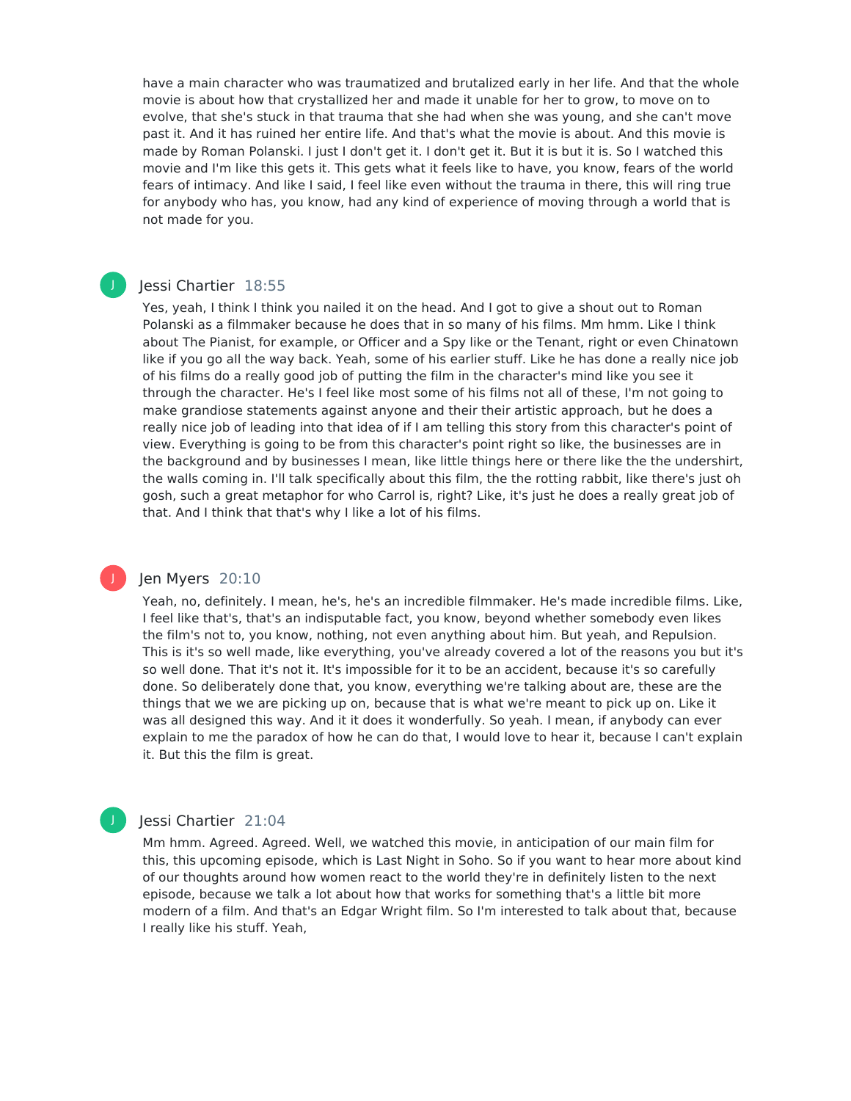have a main character who was traumatized and brutalized early in her life. And that the whole movie is about how that crystallized her and made it unable for her to grow, to move on to evolve, that she's stuck in that trauma that she had when she was young, and she can't move past it. And it has ruined her entire life. And that's what the movie is about. And this movie is made by Roman Polanski. I just I don't get it. I don't get it. But it is but it is. So I watched this movie and I'm like this gets it. This gets what it feels like to have, you know, fears of the world fears of intimacy. And like I said, I feel like even without the trauma in there, this will ring true for anybody who has, you know, had any kind of experience of moving through a world that is not made for you.

### Jessi Chartier 18:55

J

J

Yes, yeah, I think I think you nailed it on the head. And I got to give a shout out to Roman Polanski as a filmmaker because he does that in so many of his films. Mm hmm. Like I think about The Pianist, for example, or Officer and a Spy like or the Tenant, right or even Chinatown like if you go all the way back. Yeah, some of his earlier stuff. Like he has done a really nice job of his films do a really good job of putting the film in the character's mind like you see it through the character. He's I feel like most some of his films not all of these, I'm not going to make grandiose statements against anyone and their their artistic approach, but he does a really nice job of leading into that idea of if I am telling this story from this character's point of view. Everything is going to be from this character's point right so like, the businesses are in the background and by businesses I mean, like little things here or there like the the undershirt, the walls coming in. I'll talk specifically about this film, the the rotting rabbit, like there's just oh gosh, such a great metaphor for who Carrol is, right? Like, it's just he does a really great job of that. And I think that that's why I like a lot of his films.

### Jen Myers 20:10

Yeah, no, definitely. I mean, he's, he's an incredible filmmaker. He's made incredible films. Like, I feel like that's, that's an indisputable fact, you know, beyond whether somebody even likes the film's not to, you know, nothing, not even anything about him. But yeah, and Repulsion. This is it's so well made, like everything, you've already covered a lot of the reasons you but it's so well done. That it's not it. It's impossible for it to be an accident, because it's so carefully done. So deliberately done that, you know, everything we're talking about are, these are the things that we we are picking up on, because that is what we're meant to pick up on. Like it was all designed this way. And it it does it wonderfully. So yeah. I mean, if anybody can ever explain to me the paradox of how he can do that, I would love to hear it, because I can't explain it. But this the film is great.

### Jessi Chartier 21:04

Mm hmm. Agreed. Agreed. Well, we watched this movie, in anticipation of our main film for this, this upcoming episode, which is Last Night in Soho. So if you want to hear more about kind of our thoughts around how women react to the world they're in definitely listen to the next episode, because we talk a lot about how that works for something that's a little bit more modern of a film. And that's an Edgar Wright film. So I'm interested to talk about that, because I really like his stuff. Yeah,